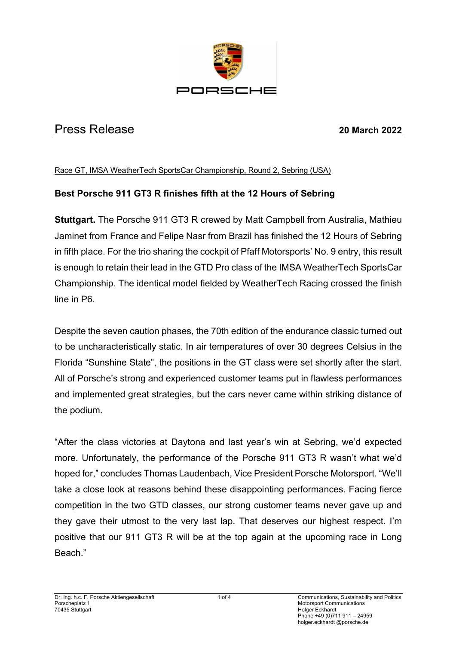

# Press Release **20 March 2022**

#### Race GT, IMSA WeatherTech SportsCar Championship, Round 2, Sebring (USA)

## **Best Porsche 911 GT3 R finishes fifth at the 12 Hours of Sebring**

**Stuttgart.** The Porsche 911 GT3 R crewed by Matt Campbell from Australia, Mathieu Jaminet from France and Felipe Nasr from Brazil has finished the 12 Hours of Sebring in fifth place. For the trio sharing the cockpit of Pfaff Motorsports' No. 9 entry, this result is enough to retain their lead in the GTD Pro class of the IMSA WeatherTech SportsCar Championship. The identical model fielded by WeatherTech Racing crossed the finish line in P6.

Despite the seven caution phases, the 70th edition of the endurance classic turned out to be uncharacteristically static. In air temperatures of over 30 degrees Celsius in the Florida "Sunshine State", the positions in the GT class were set shortly after the start. All of Porsche's strong and experienced customer teams put in flawless performances and implemented great strategies, but the cars never came within striking distance of the podium.

"After the class victories at Daytona and last year's win at Sebring, we'd expected more. Unfortunately, the performance of the Porsche 911 GT3 R wasn't what we'd hoped for," concludes Thomas Laudenbach, Vice President Porsche Motorsport. "We'll take a close look at reasons behind these disappointing performances. Facing fierce competition in the two GTD classes, our strong customer teams never gave up and they gave their utmost to the very last lap. That deserves our highest respect. I'm positive that our 911 GT3 R will be at the top again at the upcoming race in Long Beach."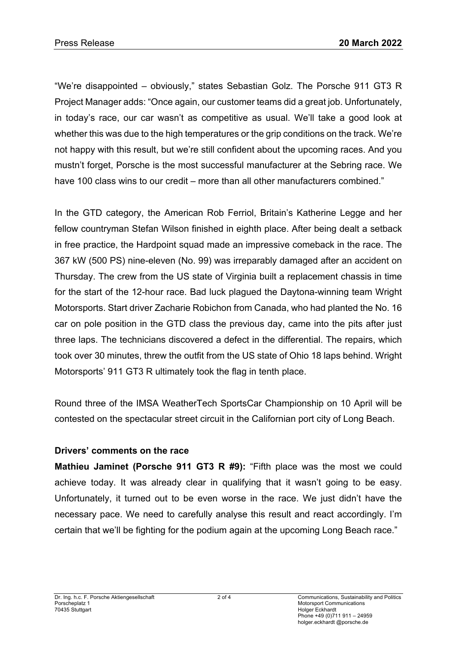"We're disappointed – obviously," states Sebastian Golz. The Porsche 911 GT3 R Project Manager adds: "Once again, our customer teams did a great job. Unfortunately, in today's race, our car wasn't as competitive as usual. We'll take a good look at whether this was due to the high temperatures or the grip conditions on the track. We're not happy with this result, but we're still confident about the upcoming races. And you mustn't forget, Porsche is the most successful manufacturer at the Sebring race. We have 100 class wins to our credit – more than all other manufacturers combined."

In the GTD category, the American Rob Ferriol, Britain's Katherine Legge and her fellow countryman Stefan Wilson finished in eighth place. After being dealt a setback in free practice, the Hardpoint squad made an impressive comeback in the race. The 367 kW (500 PS) nine-eleven (No. 99) was irreparably damaged after an accident on Thursday. The crew from the US state of Virginia built a replacement chassis in time for the start of the 12-hour race. Bad luck plagued the Daytona-winning team Wright Motorsports. Start driver Zacharie Robichon from Canada, who had planted the No. 16 car on pole position in the GTD class the previous day, came into the pits after just three laps. The technicians discovered a defect in the differential. The repairs, which took over 30 minutes, threw the outfit from the US state of Ohio 18 laps behind. Wright Motorsports' 911 GT3 R ultimately took the flag in tenth place.

Round three of the IMSA WeatherTech SportsCar Championship on 10 April will be contested on the spectacular street circuit in the Californian port city of Long Beach.

### **Drivers' comments on the race**

**Mathieu Jaminet (Porsche 911 GT3 R #9):** "Fifth place was the most we could achieve today. It was already clear in qualifying that it wasn't going to be easy. Unfortunately, it turned out to be even worse in the race. We just didn't have the necessary pace. We need to carefully analyse this result and react accordingly. I'm certain that we'll be fighting for the podium again at the upcoming Long Beach race."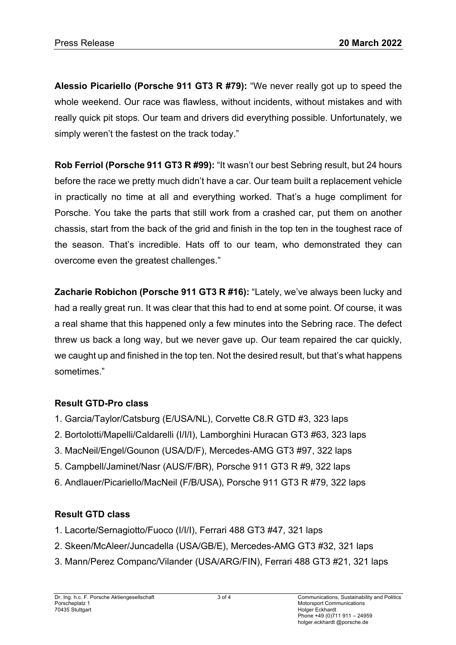**Alessio Picariello (Porsche 911 GT3 R #79):** "We never really got up to speed the whole weekend. Our race was flawless, without incidents, without mistakes and with really quick pit stops. Our team and drivers did everything possible. Unfortunately, we simply weren't the fastest on the track today."

**Rob Ferriol (Porsche 911 GT3 R #99):** "It wasn't our best Sebring result, but 24 hours before the race we pretty much didn't have a car. Our team built a replacement vehicle in practically no time at all and everything worked. That's a huge compliment for Porsche. You take the parts that still work from a crashed car, put them on another chassis, start from the back of the grid and finish in the top ten in the toughest race of the season. That's incredible. Hats off to our team, who demonstrated they can overcome even the greatest challenges."

**Zacharie Robichon (Porsche 911 GT3 R #16):** "Lately, we've always been lucky and had a really great run. It was clear that this had to end at some point. Of course, it was a real shame that this happened only a few minutes into the Sebring race. The defect threw us back a long way, but we never gave up. Our team repaired the car quickly, we caught up and finished in the top ten. Not the desired result, but that's what happens sometimes."

## **Result GTD-Pro class**

- 1. Garcia/Taylor/Catsburg (E/USA/NL), Corvette C8.R GTD #3, 323 laps
- 2. Bortolotti/Mapelli/Caldarelli (I/I/I), Lamborghini Huracan GT3 #63, 323 laps
- 3. MacNeil/Engel/Gounon (USA/D/F), Mercedes-AMG GT3 #97, 322 laps
- 5. Campbell/Jaminet/Nasr (AUS/F/BR), Porsche 911 GT3 R #9, 322 laps
- 6. Andlauer/Picariello/MacNeil (F/B/USA), Porsche 911 GT3 R #79, 322 laps

# **Result GTD class**

- 1. Lacorte/Sernagiotto/Fuoco (I/I/I), Ferrari 488 GT3 #47, 321 laps
- 2. Skeen/McAleer/Juncadella (USA/GB/E), Mercedes-AMG GT3 #32, 321 laps
- 3. Mann/Perez Companc/Vilander (USA/ARG/FIN), Ferrari 488 GT3 #21, 321 laps